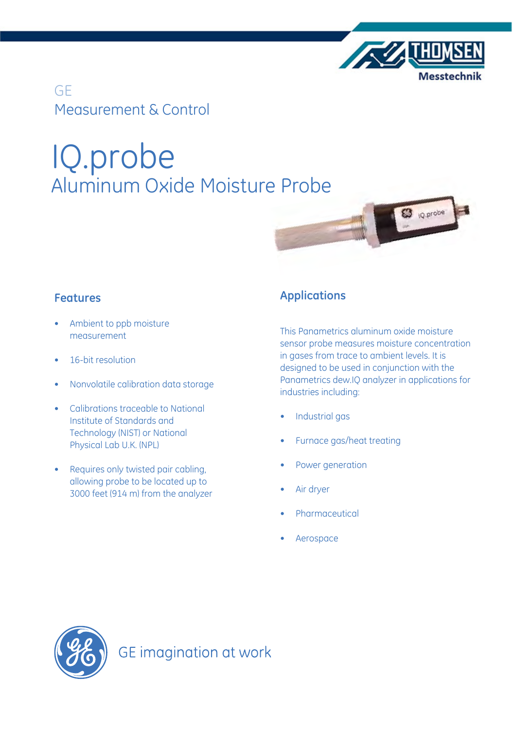

**ES** <sub>IQ.probe</sub>

GE Measurement & Control

# IQ.probe Aluminum Oxide Moisture Probe

## **Features**

- Ambient to ppb moisture measurement
- 16-bit resolution
- • Nonvolatile calibration data storage
- • Calibrations traceable to National Institute of Standards and Technology (NIST) or National Physical Lab U.K. (NPL)
- • Requires only twisted pair cabling, allowing probe to be located up to 3000 feet (914 m) from the analyzer

## **Applications**

This Panametrics aluminum oxide moisture sensor probe measures moisture concentration in gases from trace to ambient levels. It is designed to be used in conjunction with the Panametrics dew.IQ analyzer in applications for industries including:

- Industrial gas
- Furnace gas/heat treating
- Power generation
- Air dryer
- **Pharmaceutical**
- **Aerospace**

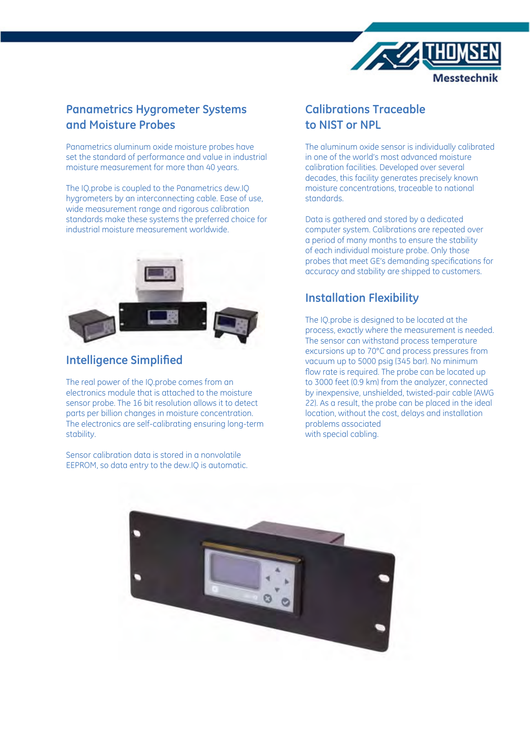

## **Panametrics Hygrometer Systems and Moisture Probes**

Panametrics aluminum oxide moisture probes have set the standard of performance and value in industrial moisture measurement for more than 40 years.

The IQ.probe is coupled to the Panametrics dew.IQ hygrometers by an interconnecting cable. Ease of use, wide measurement range and rigorous calibration standards make these systems the preferred choice for industrial moisture measurement worldwide.



## **Intelligence Simplified**

The real power of the IQ.probe comes from an electronics module that is attached to the moisture sensor probe. The 16 bit resolution allows it to detect parts per billion changes in moisture concentration. The electronics are self-calibrating ensuring long-term stability.

Sensor calibration data is stored in a nonvolatile EEPROM, so data entry to the dew.IQ is automatic.

## **Calibrations Traceable to NIST or NPL**

The aluminum oxide sensor is individually calibrated in one of the world's most advanced moisture calibration facilities. Developed over several decades, this facility generates precisely known moisture concentrations, traceable to national standards.

Data is gathered and stored by a dedicated computer system. Calibrations are repeated over a period of many months to ensure the stability of each individual moisture probe. Only those probes that meet GE's demanding specifications for accuracy and stability are shipped to customers.

## **Installation Flexibility**

The IQ.probe is designed to be located at the process, exactly where the measurement is needed. The sensor can withstand process temperature excursions up to 70°C and process pressures from vacuum up to 5000 psig (345 bar). No minimum flow rate is required. The probe can be located up to 3000 feet (0.9 km) from the analyzer, connected by inexpensive, unshielded, twisted-pair cable (AWG 22). As a result, the probe can be placed in the ideal location, without the cost, delays and installation problems associated with special cabling.

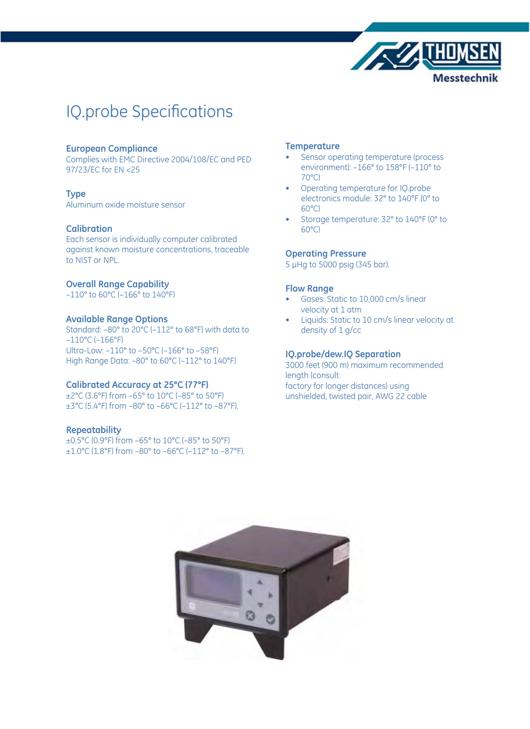

## IQ.probe Specifications

#### **European Compliance**

Complies with EMC Directive 2004/108/EC and PED 97/23/EC for EN <25

#### **Type**

Aluminum oxide moisture sensor

#### **Calibration**

Each sensor is individually computer calibrated against known moisture concentrations, traceable to NIST or NPL.

#### **Overall Range Capability**

–110° to 60°C (–166° to 140°F)

#### **Available Range Options**

Standard: –80° to 20°C (–112° to 68°F) with data to –110°C (–166°F) Ultra-Low: –110° to –50°C (–166° to –58°F) High Range Data: -80° to 60°C (-112° to 140°F)

#### **Calibrated Accuracy at 25°C (77°F)**

±2°C (3.6°F) from –65° to 10°C (–85° to 50°F) ±3°C (5.4°F) from –80° to –66°C (–112° to –87°F).

#### **Repeatability**

±0.5°C (0.9°F) from –65° to 10°C (–85° to 50°F) ±1.0°C (1.8°F) from –80° to –66°C (–112° to –87°F).

#### **Temperature**

- Sensor operating temperature (process environment): –166° to 158°F (–110° to 70°C)
- Operating temperature for IQ.probe electronics module: 32° to 140°F (0° to 60°C)
- Storage temperature: 32° to 140°F (0° to 60°C)

#### **Operating Pressure**

5 μHg to 5000 psig (345 bar).

#### **Flow Range**

- Gases: Static to 10,000 cm/s linear velocity at 1 atm
- Liquids: Static to 10 cm/s linear velocity at density of 1 g/cc

#### **IQ.probe/dew.IQ Separation**

3000 feet (900 m) maximum recommended length (consult factory for longer distances) using unshielded, twisted pair, AWG 22 cable